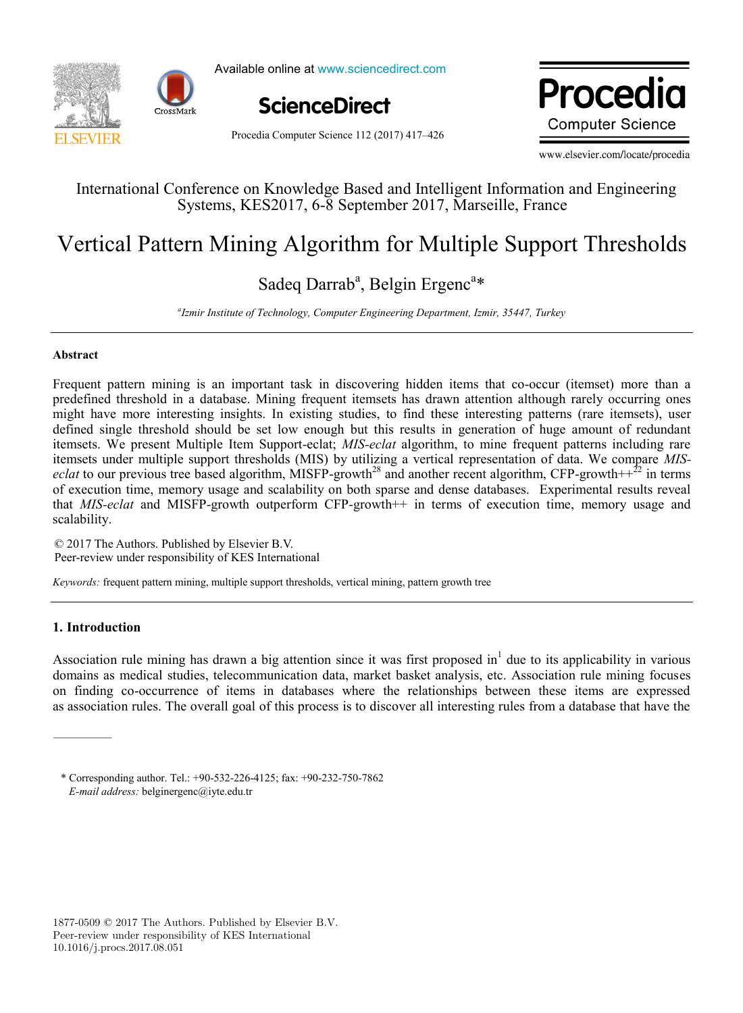



Available online at www.sciencedirect.com



Procedia Computer Science 112 (2017) 417–426

Dracodia ww.elsevile **Computer Science** 

www.elsevier.com/locate/procedia

# International Conference on  $K$  and  $K$  and  $K$   $\mathbb{R}$  and  $\mathbb{R}$  information and Engineering Information and Engineering information and Engineering in the Engineering Information and Engineering Information and Engi International Conference on Knowledge Based and Intelligent Information and Engineering Systems, KES2017, 6-8 September 2017, Marseille, France

# Vertical Pattern Mining Algorithm for Multiple Support Thresholds Vertical Pattern Mining Algorithm for Multiple Support Thresholds

# Sadeq Darrab<sup>a</sup>, Belgin Ergenc<sup>a\*</sup>

*Izmir Institute of Technology, Computer Engineering Department, Izmir, 35447, Turkey a Izmir Institute of Technology, Computer Engineering Department, Izmir, 35447, Turkey*

# **Abstract**

Frequent pattern mining is an important task in discovering hidden items that co-occur (itemset) more than a Frequent pattern mining is an important task in discovering hidden items that co-occur (itemset) more than a predefined threshold in a database. Mining frequent itemsets has drawn attention although rarely occurring ones might have more interesting insights. In existing studies, to find these interesting patterns (rare itemsets), user defined single threshold should be set low enough but this results in generation of huge amount of redundant itemsets. We present Multiple Item Support-eclat; MIS-eclat algorithm, to mine frequent patterns including rare itemsets under multiple support thresholds (MIS) by utilizing a vertical representation of data. We compare *MISeclat* to our previous tree based algorithm, MISFP-growth<sup>-3</sup> and another recent algorithm, CFP-growth++<sup>2</sup> in terms of execution time, memory usage and scalability on both sparse and dense databases. Experimental results reveal that *MIS-eclat* and MISFP-growth outperform CFP-growth++ in terms of execution time, memory usage and itemsets under multiple support thresholds (MIS) by utilizing a vertical representation of data. We compare *MISeclat* to our previous tree based algorithm, MISFP-growth<sup>28</sup> and another recent algorithm, CFP-growth++ $^{22}$  in terms scalability.

© 2017 The Authors. Published by Elsevier B.V. © 2017 The Authors. Published by Elsevier B.V. Peer-review under responsibility of KES International Peer-review under responsibility of KES International. © 2017 The Authors. Published by Elsevier B.V. Peer-review under responsibility of KES International.

*Keywords:* frequent pattern mining, multiple support thresholds, vertical mining, pattern growth tree

# **1. Introduction**

Association rule mining has drawn a big attention since it was first proposed in<sup>1</sup> due to its applicability in various domains as medical studies, telecommunication data, market basket analysis, etc. Association rule mining focuses on finding co-occurrence of items in databases where the relationships between these items are expressed as association rules. The overall goal of this process is to discover all interesting rules from a database that have the association rules. The overall goal of this process is to discover all interesting rules from a database that h

<sup>\*</sup> Corresponding author. Tel.: +90-532-226-4125; fax: +90-232-750-7862 *E-mail address:* belginergenc@iyte.edu.tr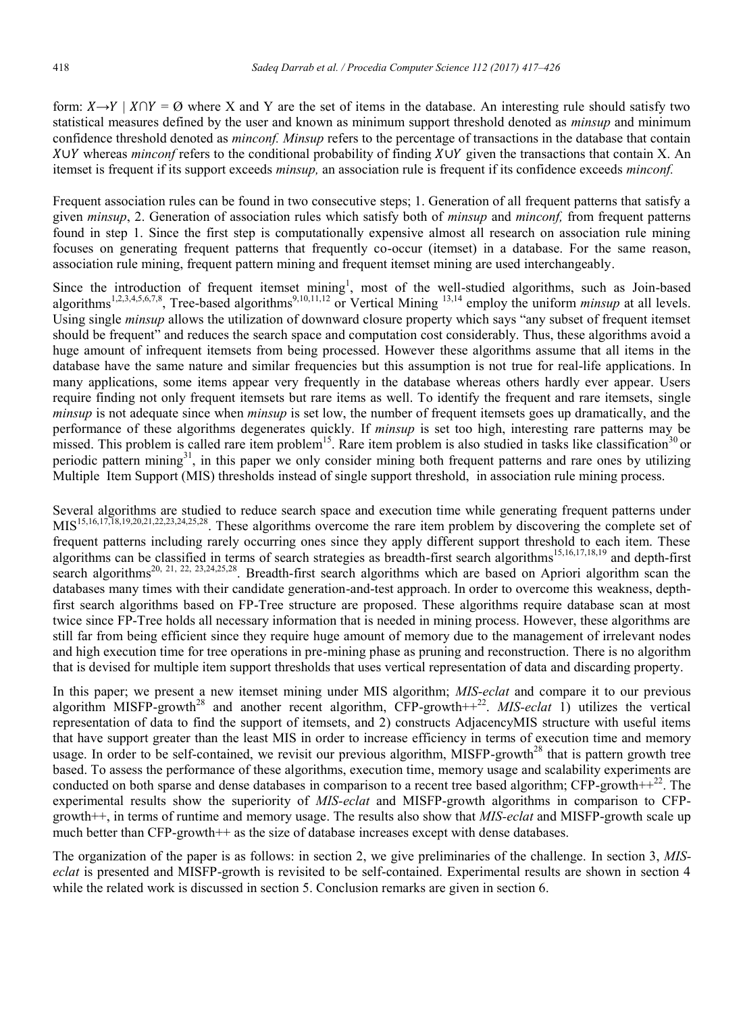form:  $X \rightarrow Y \mid X \cap Y = \emptyset$  where X and Y are the set of items in the database. An interesting rule should satisfy two statistical measures defined by the user and known as minimum support threshold denoted as *minsup* and minimum confidence threshold denoted as *minconf. Minsup* refers to the percentage of transactions in the database that contain X∪Y whereas *minconf* refers to the conditional probability of finding X∪Y given the transactions that contain X. An itemset is frequent if its support exceeds *minsup,* an association rule is frequent if its confidence exceeds *minconf.*

Frequent association rules can be found in two consecutive steps; 1. Generation of all frequent patterns that satisfy a given *minsup*, 2. Generation of association rules which satisfy both of *minsup* and *minconf,* from frequent patterns found in step 1. Since the first step is computationally expensive almost all research on association rule mining focuses on generating frequent patterns that frequently co-occur (itemset) in a database. For the same reason, association rule mining, frequent pattern mining and frequent itemset mining are used interchangeably.

Since the introduction of frequent itemset mining<sup>1</sup>, most of the well-studied algorithms, such as Join-based algorithms<sup>1,2,3,4,5,6,7,8</sup>, Tree-based algorithms<sup>9,10,11,12</sup> or Vertical Mining <sup>13,14</sup> employ the uniform *minsup* at all levels. Using single *minsup* allows the utilization of downward closure property which says "any subset of frequent itemset should be frequent" and reduces the search space and computation cost considerably. Thus, these algorithms avoid a huge amount of infrequent itemsets from being processed. However these algorithms assume that all items in the database have the same nature and similar frequencies but this assumption is not true for real-life applications. In many applications, some items appear very frequently in the database whereas others hardly ever appear. Users require finding not only frequent itemsets but rare items as well. To identify the frequent and rare itemsets, single *minsup* is not adequate since when *minsup* is set low, the number of frequent itemsets goes up dramatically, and the performance of these algorithms degenerates quickly. If *minsup* is set too high, interesting rare patterns may be missed. This problem is called rare item problem<sup>15</sup>. Rare item problem is also studied in tasks like classification<sup>30</sup> or periodic pattern mining<sup>31</sup>, in this paper we only consider mining both frequent patterns and rare ones by utilizing Multiple Item Support (MIS) thresholds instead of single support threshold, in association rule mining process.

Several algorithms are studied to reduce search space and execution time while generating frequent patterns under MIS15,16,17,18,19,20,21,22,23,24,25,28. These algorithms overcome the rare item problem by discovering the complete set of frequent patterns including rarely occurring ones since they apply different support threshold to each item. These algorithms can be classified in terms of search strategies as breadth-first search algorithms 15,16,17,18,19 and depth-first search algorithms<sup>20, 21, 22, 23,24,25,28</sup>. Breadth-first search algorithms which are based on Apriori algorithm scan the databases many times with their candidate generation-and-test approach. In order to overcome this weakness, depthfirst search algorithms based on FP-Tree structure are proposed. These algorithms require database scan at most twice since FP-Tree holds all necessary information that is needed in mining process. However, these algorithms are still far from being efficient since they require huge amount of memory due to the management of irrelevant nodes and high execution time for tree operations in pre-mining phase as pruning and reconstruction. There is no algorithm that is devised for multiple item support thresholds that uses vertical representation of data and discarding property.

In this paper; we present a new itemset mining under MIS algorithm; *MIS-eclat* and compare it to our previous algorithm MISFP-growth<sup>28</sup> and another recent algorithm, CFP-growth+ $+22$ . *MIS-eclat* 1) utilizes the vertical representation of data to find the support of itemsets, and 2) constructs AdjacencyMIS structure with useful items that have support greater than the least MIS in order to increase efficiency in terms of execution time and memory usage. In order to be self-contained, we revisit our previous algorithm, MISFP-growth<sup>28</sup> that is pattern growth tree based. To assess the performance of these algorithms, execution time, memory usage and scalability experiments are conducted on both sparse and dense databases in comparison to a recent tree based algorithm;  $CFP$ -growth++ $^{22}$ . The experimental results show the superiority of *MIS-eclat* and MISFP-growth algorithms in comparison to CFPgrowth++, in terms of runtime and memory usage. The results also show that *MIS-eclat* and MISFP-growth scale up much better than CFP-growth++ as the size of database increases except with dense databases.

The organization of the paper is as follows: in section 2, we give preliminaries of the challenge. In section 3, *MISeclat* is presented and MISFP-growth is revisited to be self-contained. Experimental results are shown in section 4 while the related work is discussed in section 5. Conclusion remarks are given in section 6.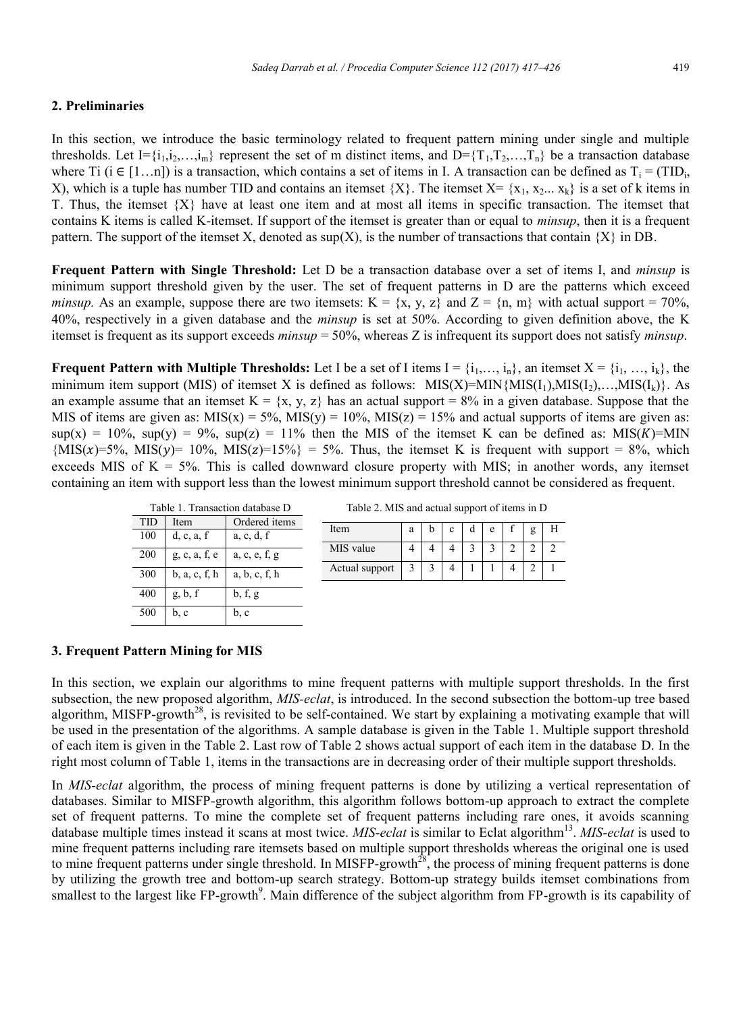# **2. Preliminaries**

In this section, we introduce the basic terminology related to frequent pattern mining under single and multiple thresholds. Let  $I = \{i_1, i_2, \ldots, i_m\}$  represent the set of m distinct items, and  $D = \{T_1, T_2, \ldots, T_n\}$  be a transaction database where Ti (i ∈ [1...n]) is a transaction, which contains a set of items in I. A transaction can be defined as  $T_i = (TID_i, IID_i)$ X), which is a tuple has number TID and contains an itemset  ${X}$ . The itemset  $X = {x_1, x_2, ..., x_k}$  is a set of k items in T. Thus, the itemset  $\{X\}$  have at least one item and at most all items in specific transaction. The itemset that contains K items is called K-itemset. If support of the itemset is greater than or equal to *minsup*, then it is a frequent pattern. The support of the itemset X, denoted as  $\text{sup}(X)$ , is the number of transactions that contain  $\{X\}$  in DB.

**Frequent Pattern with Single Threshold:** Let D be a transaction database over a set of items I, and *minsup* is minimum support threshold given by the user. The set of frequent patterns in D are the patterns which exceed *minsup.* As an example, suppose there are two itemsets:  $K = \{x, y, z\}$  and  $Z = \{n, m\}$  with actual support = 70%, 40%, respectively in a given database and the *minsup* is set at 50%. According to given definition above, the K itemset is frequent as its support exceeds *minsup* = 50%, whereas Z is infrequent its support does not satisfy *minsup*.

**Frequent Pattern with Multiple Thresholds:** Let I be a set of I items  $I = \{i_1, ..., i_n\}$ , an itemset  $X = \{i_1, ..., i_k\}$ , the minimum item support (MIS) of itemset X is defined as follows:  $MIS(X)=MIN\{MIS(I_1),MIS(I_2),\ldots,MIS(I_k)\}\$ . As an example assume that an itemset  $K = \{x, y, z\}$  has an actual support = 8% in a given database. Suppose that the MIS of items are given as:  $MIS(x) = 5\%, MIS(y) = 10\%, MIS(z) = 15\%$  and actual supports of items are given as:  $\sup(x) = 10\%$ ,  $\sup(y) = 9\%$ ,  $\sup(z) = 11\%$  then the MIS of the itemset K can be defined as: MIS(K)=MIN  ${MIS(x)=5\%$ ,  $MIS(y)=10\%$ ,  $MIS(z)=15\%$  = 5%. Thus, the itemset K is frequent with support = 8%, which exceeds MIS of  $K = 5\%$ . This is called downward closure property with MIS; in another words, any itemset containing an item with support less than the lowest minimum support threshold cannot be considered as frequent.

| Table 1. Transaction database D |               |               |  |  |  |  |  |
|---------------------------------|---------------|---------------|--|--|--|--|--|
| TID                             | Item          | Ordered items |  |  |  |  |  |
| 100                             | d, c, a, f    | a, c, d, f    |  |  |  |  |  |
| 200                             | g, c, a, f, e | a, c, e, f, g |  |  |  |  |  |
| 300                             | b, a, c, f, h | a, b, c, f, h |  |  |  |  |  |
| 400                             | g, b, f       | b, f, g       |  |  |  |  |  |
| 500                             | b, c          | b, c          |  |  |  |  |  |

Table 2. MIS and actual support of items in D

| Item           | a | r | e | ø |  |
|----------------|---|---|---|---|--|
| MIS value      |   |   |   |   |  |
| Actual support |   |   |   |   |  |

#### **3. Frequent Pattern Mining for MIS**

In this section, we explain our algorithms to mine frequent patterns with multiple support thresholds. In the first subsection, the new proposed algorithm, *MIS-eclat*, is introduced. In the second subsection the bottom-up tree based algorithm, MISFP-growth<sup>28</sup>, is revisited to be self-contained. We start by explaining a motivating example that will be used in the presentation of the algorithms. A sample database is given in the Table 1. Multiple support threshold of each item is given in the Table 2. Last row of Table 2 shows actual support of each item in the database D. In the right most column of Table 1, items in the transactions are in decreasing order of their multiple support thresholds.

In *MIS-eclat* algorithm, the process of mining frequent patterns is done by utilizing a vertical representation of databases. Similar to MISFP-growth algorithm, this algorithm follows bottom-up approach to extract the complete set of frequent patterns. To mine the complete set of frequent patterns including rare ones, it avoids scanning database multiple times instead it scans at most twice. MIS-eclat is similar to Eclat algorithm<sup>13</sup>. MIS-eclat is used to mine frequent patterns including rare itemsets based on multiple support thresholds whereas the original one is used to mine frequent patterns under single threshold. In MISFP-growth<sup>28</sup>, the process of mining frequent patterns is done by utilizing the growth tree and bottom-up search strategy. Bottom-up strategy builds itemset combinations from smallest to the largest like FP-growth<sup>9</sup>. Main difference of the subject algorithm from FP-growth is its capability of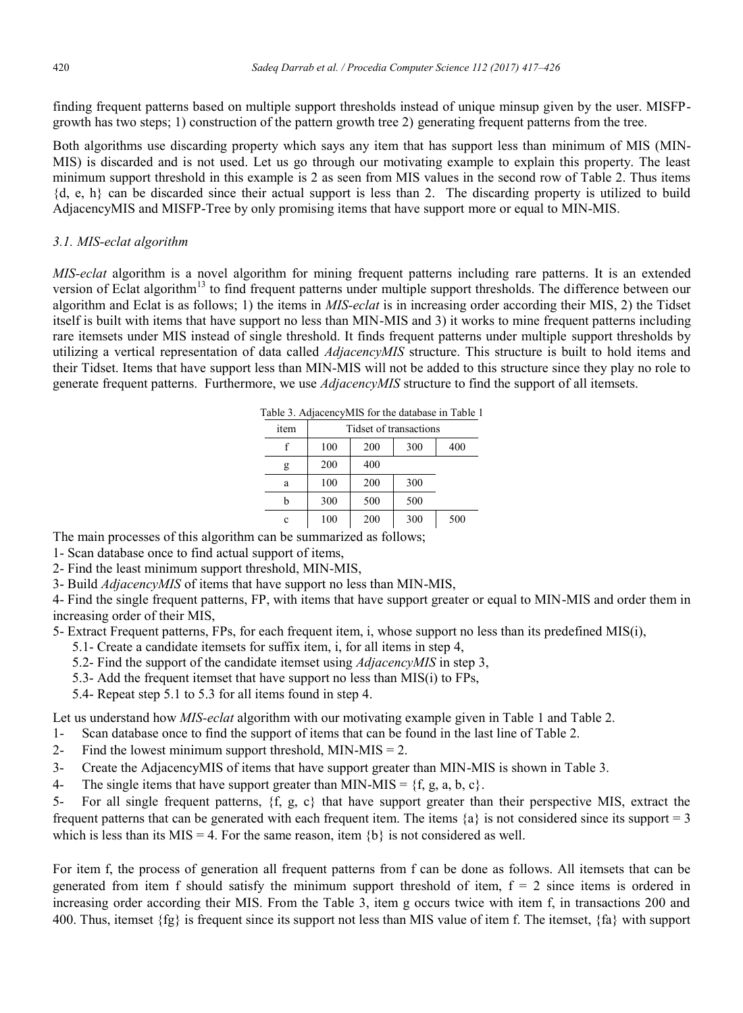finding frequent patterns based on multiple support thresholds instead of unique minsup given by the user. MISFPgrowth has two steps; 1) construction of the pattern growth tree 2) generating frequent patterns from the tree.

Both algorithms use discarding property which says any item that has support less than minimum of MIS (MIN-MIS) is discarded and is not used. Let us go through our motivating example to explain this property. The least minimum support threshold in this example is 2 as seen from MIS values in the second row of Table 2. Thus items {d, e, h} can be discarded since their actual support is less than 2. The discarding property is utilized to build AdjacencyMIS and MISFP-Tree by only promising items that have support more or equal to MIN-MIS.

# *3.1. MIS-eclat algorithm*

*MIS-eclat* algorithm is a novel algorithm for mining frequent patterns including rare patterns. It is an extended version of Eclat algorithm<sup>13</sup> to find frequent patterns under multiple support thresholds. The difference between our algorithm and Eclat is as follows; 1) the items in *MIS-eclat* is in increasing order according their MIS, 2) the Tidset itself is built with items that have support no less than MIN-MIS and 3) it works to mine frequent patterns including rare itemsets under MIS instead of single threshold. It finds frequent patterns under multiple support thresholds by utilizing a vertical representation of data called *AdjacencyMIS* structure. This structure is built to hold items and their Tidset. Items that have support less than MIN-MIS will not be added to this structure since they play no role to generate frequent patterns. Furthermore, we use *AdjacencyMIS* structure to find the support of all itemsets.

| Table 3. AdjacencyMIS for the database in Table 1 |                        |     |     |     |  |  |  |  |
|---------------------------------------------------|------------------------|-----|-----|-----|--|--|--|--|
| item                                              | Tidset of transactions |     |     |     |  |  |  |  |
|                                                   | 100                    | 200 | 300 | 400 |  |  |  |  |
| g                                                 | 200                    | 400 |     |     |  |  |  |  |
| a                                                 | 100                    | 200 | 300 |     |  |  |  |  |
| b                                                 | 300                    | 500 | 500 |     |  |  |  |  |
| c                                                 | 100                    | 200 | 300 | 500 |  |  |  |  |

The main processes of this algorithm can be summarized as follows;

1- Scan database once to find actual support of items,

2- Find the least minimum support threshold, MIN-MIS,

3- Build *AdjacencyMIS* of items that have support no less than MIN-MIS,

4- Find the single frequent patterns, FP, with items that have support greater or equal to MIN-MIS and order them in increasing order of their MIS,

5- Extract Frequent patterns, FPs, for each frequent item, i, whose support no less than its predefined MIS(i),

- 5.1- Create a candidate itemsets for suffix item, i, for all items in step 4,
- 5.2- Find the support of the candidate itemset using *AdjacencyMIS* in step 3,
- 5.3- Add the frequent itemset that have support no less than MIS(i) to FPs,
- 5.4- Repeat step 5.1 to 5.3 for all items found in step 4.

Let us understand how *MIS-eclat* algorithm with our motivating example given in Table 1 and Table 2.

1- Scan database once to find the support of items that can be found in the last line of Table 2.

- 2- Find the lowest minimum support threshold, MIN-MIS  $= 2$ .
- 3- Create the AdjacencyMIS of items that have support greater than MIN-MIS is shown in Table 3.
- 4- The single items that have support greater than MIN-MIS =  $\{f, g, a, b, c\}$ .

5- For all single frequent patterns,  $\{f, g, c\}$  that have support greater than their perspective MIS, extract the frequent patterns that can be generated with each frequent item. The items  $\{a\}$  is not considered since its support = 3 which is less than its MIS = 4. For the same reason, item  ${b}$  is not considered as well.

For item f, the process of generation all frequent patterns from f can be done as follows. All itemsets that can be generated from item f should satisfy the minimum support threshold of item,  $f = 2$  since items is ordered in increasing order according their MIS. From the Table 3, item g occurs twice with item f, in transactions 200 and 400. Thus, itemset  $\{fg\}$  is frequent since its support not less than MIS value of item f. The itemset,  $\{fa\}$  with support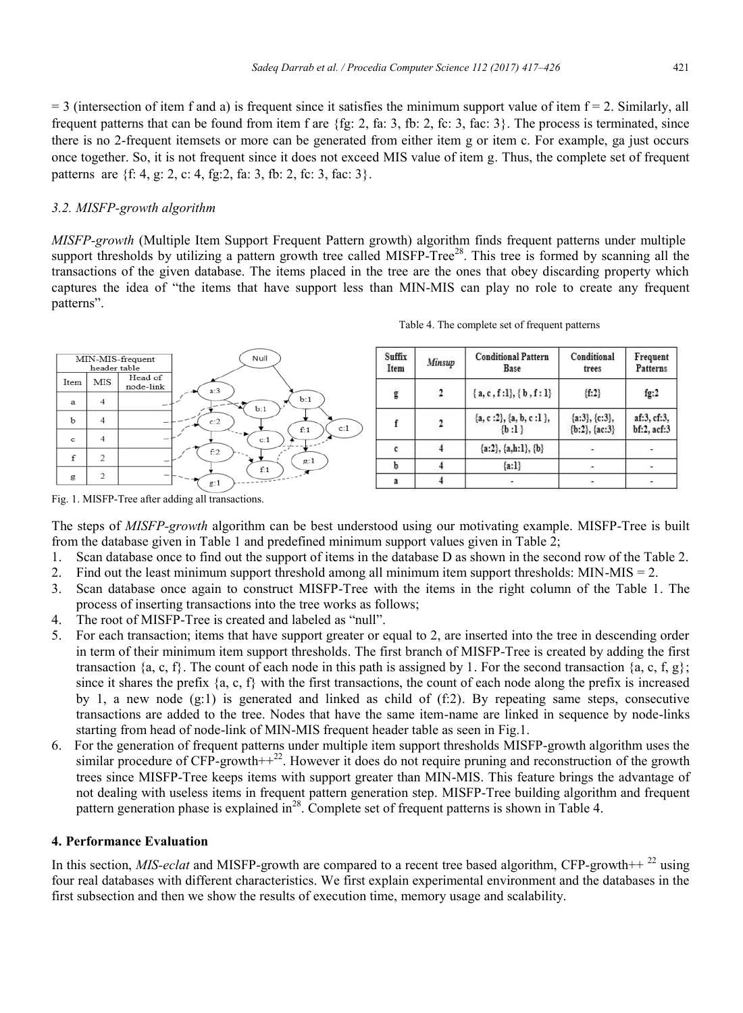$=$  3 (intersection of item f and a) is frequent since it satisfies the minimum support value of item  $f = 2$ . Similarly, all frequent patterns that can be found from item f are  $\{fg: 2, fa: 3, fb: 2, fc: 3, fac: 3\}$ . The process is terminated, since there is no 2-frequent itemsets or more can be generated from either item g or item c. For example, ga just occurs once together. So, it is not frequent since it does not exceed MIS value of item g. Thus, the complete set of frequent patterns are {f: 4, g: 2, c: 4, fg:2, fa: 3, fb: 2, fc: 3, fac: 3}.

#### *3.2. MISFP-growth algorithm*

*MISFP-growth* (Multiple Item Support Frequent Pattern growth) algorithm finds frequent patterns under multiple support thresholds by utilizing a pattern growth tree called MISFP-Tree<sup>28</sup>. This tree is formed by scanning all the transactions of the given database. The items placed in the tree are the ones that obey discarding property which captures the idea of "the items that have support less than MIN-MIS can play no role to create any frequent patterns".



Table 4. The complete set of frequent patterns

| Suffix<br>Item | Minsup | <b>Conditional Pattern</b><br>Base        | Conditional<br>trees                    | Frequent<br>Patterns       |
|----------------|--------|-------------------------------------------|-----------------------------------------|----------------------------|
| ġ              | 2      | ${a, c, f:l}, {b, f:l}$                   | ${f:2}$                                 | fg:2                       |
|                | 2      | ${a, c : 2}, {a, b, c : 1}.$<br>$\{b:1\}$ | $\{a:3\}, \{c:3\},\$<br>${b:2}, {ac:3}$ | af:3, cf:3,<br>bf:2, acf:3 |
| c              |        | ${a:2}, {a,h:1}, {b}$                     |                                         |                            |
|                |        | $\{a:1\}$                                 |                                         |                            |
|                |        |                                           |                                         |                            |

Fig. 1. MISFP-Tree after adding all transactions.

The steps of *MISFP-growth* algorithm can be best understood using our motivating example. MISFP-Tree is built from the database given in Table 1 and predefined minimum support values given in Table 2;

- 1. Scan database once to find out the support of items in the database D as shown in the second row of the Table 2.
- 2. Find out the least minimum support threshold among all minimum item support thresholds: MIN-MIS = 2.
- 3. Scan database once again to construct MISFP-Tree with the items in the right column of the Table 1. The process of inserting transactions into the tree works as follows;
- 4. The root of MISFP-Tree is created and labeled as "null".
- 5. For each transaction; items that have support greater or equal to 2, are inserted into the tree in descending order in term of their minimum item support thresholds. The first branch of MISFP-Tree is created by adding the first transaction {a, c, f}. The count of each node in this path is assigned by 1. For the second transaction {a, c, f, g}; since it shares the prefix  $\{a, c, f\}$  with the first transactions, the count of each node along the prefix is increased by 1, a new node  $(g:1)$  is generated and linked as child of  $(f:2)$ . By repeating same steps, consecutive transactions are added to the tree. Nodes that have the same item-name are linked in sequence by node-links starting from head of node-link of MIN-MIS frequent header table as seen in Fig.1.
- 6. For the generation of frequent patterns under multiple item support thresholds MISFP-growth algorithm uses the similar procedure of CFP-growth+ $+2^2$ . However it does do not require pruning and reconstruction of the growth trees since MISFP-Tree keeps items with support greater than MIN-MIS. This feature brings the advantage of not dealing with useless items in frequent pattern generation step. MISFP-Tree building algorithm and frequent pattern generation phase is explained in<sup>28</sup>. Complete set of frequent patterns is shown in Table 4.

#### **4. Performance Evaluation**

In this section,  $MIS-eclat$  and MISFP-growth are compared to a recent tree based algorithm, CFP-growth++ $^{22}$  using four real databases with different characteristics. We first explain experimental environment and the databases in the first subsection and then we show the results of execution time, memory usage and scalability.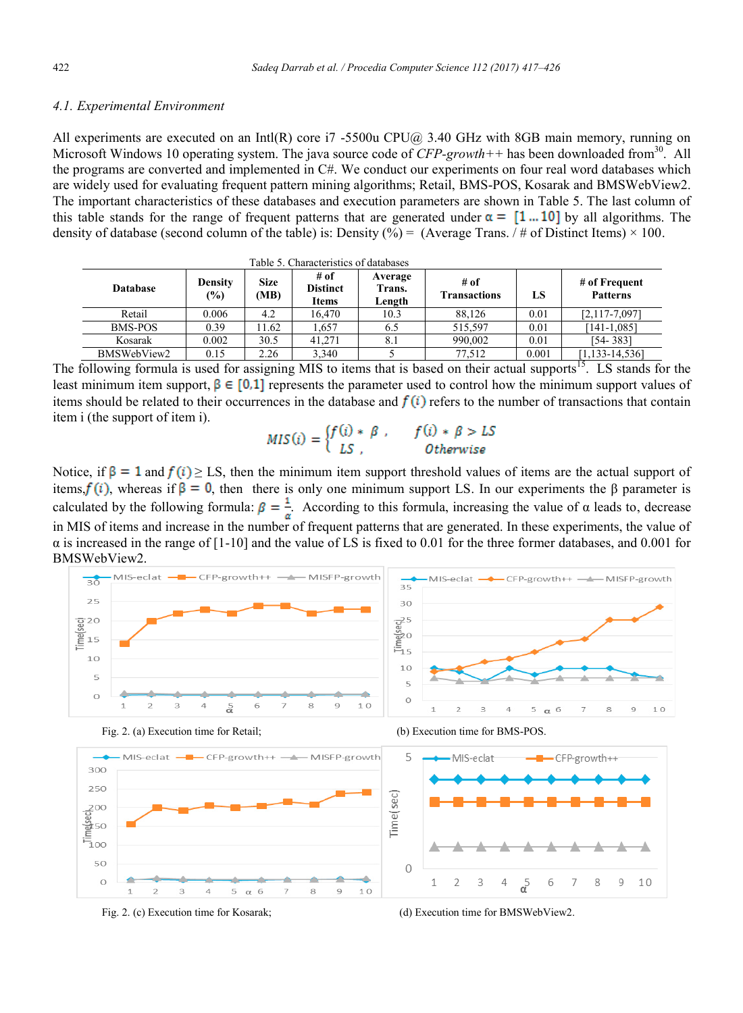#### *4.1. Experimental Environment*

All experiments are executed on an Intl(R) core i7 -5500u CPU@ 3.40 GHz with 8GB main memory, running on Microsoft Windows 10 operating system. The java source code of  $CFP\text{-}growth++$  has been downloaded from<sup>30</sup>. All the programs are converted and implemented in C#. We conduct our experiments on four real word databases which are widely used for evaluating frequent pattern mining algorithms; Retail, BMS-POS, Kosarak and BMSWebView2. The important characteristics of these databases and execution parameters are shown in Table 5. The last column of this table stands for the range of frequent patterns that are generated under  $\alpha = [1...10]$  by all algorithms. The density of database (second column of the table) is: Density (%) = (Average Trans. / # of Distinct Items)  $\times$  100.

| Table 5. Characteristics of databases |                       |              |                                         |                             |                             |       |                                  |
|---------------------------------------|-----------------------|--------------|-----------------------------------------|-----------------------------|-----------------------------|-------|----------------------------------|
| <b>Database</b>                       | <b>Density</b><br>(%) | Size<br>(MB) | # of<br><b>Distinct</b><br><b>Items</b> | Average<br>Trans.<br>Length | # of<br><b>Transactions</b> | LS    | # of Frequent<br><b>Patterns</b> |
| Retail                                | 0.006                 | 4.2          | 16.470                                  | 10.3                        | 88.126                      | 0.01  | $[2, 117 - 7, 097]$              |
| <b>BMS-POS</b>                        | 0.39                  | 1.62         | 1.657                                   | 6.5                         | 515.597                     | 0.01  | $[141-1.085]$                    |
| Kosarak                               | 0.002                 | 30.5         | 41.271                                  | 8.1                         | 990.002                     | 0.01  | [54-383]                         |
| BMSWebView2                           | 0.15                  | 2.26         | 3,340                                   |                             | 77,512                      | 0.001 | $[1, 133 - 14, 536]$             |

The following formula is used for assigning MIS to items that is based on their actual supports<sup>15</sup>. LS stands for the least minimum item support,  $\beta \in [0,1]$  represents the parameter used to control how the minimum support values of items should be related to their occurrences in the database and  $f(i)$  refers to the number of transactions that contain item i (the support of item i).

# $MIS(i) = \begin{cases} f(i) * \beta, & f(i) * \beta > LS \\ LS, & Otherwise \end{cases}$

Notice, if  $\beta = 1$  and  $f(i) \geq LS$ , then the minimum item support threshold values of items are the actual support of items,  $f(i)$ , whereas if  $\beta = 0$ , then there is only one minimum support LS. In our experiments the  $\beta$  parameter is calculated by the following formula:  $\beta = \frac{1}{\alpha}$ . According to this formula, increasing the value of  $\alpha$  leads to, decrease in MIS of items and increase in the number of frequent patterns that are generated. In these experiments, the value of  $\alpha$  is increased in the range of [1-10] and the value of LS is fixed to 0.01 for the three former databases, and 0.001 for BMSWebView2.



Fig. 2. (c) Execution time for Kosarak; (d) Execution time for BMSWebView2.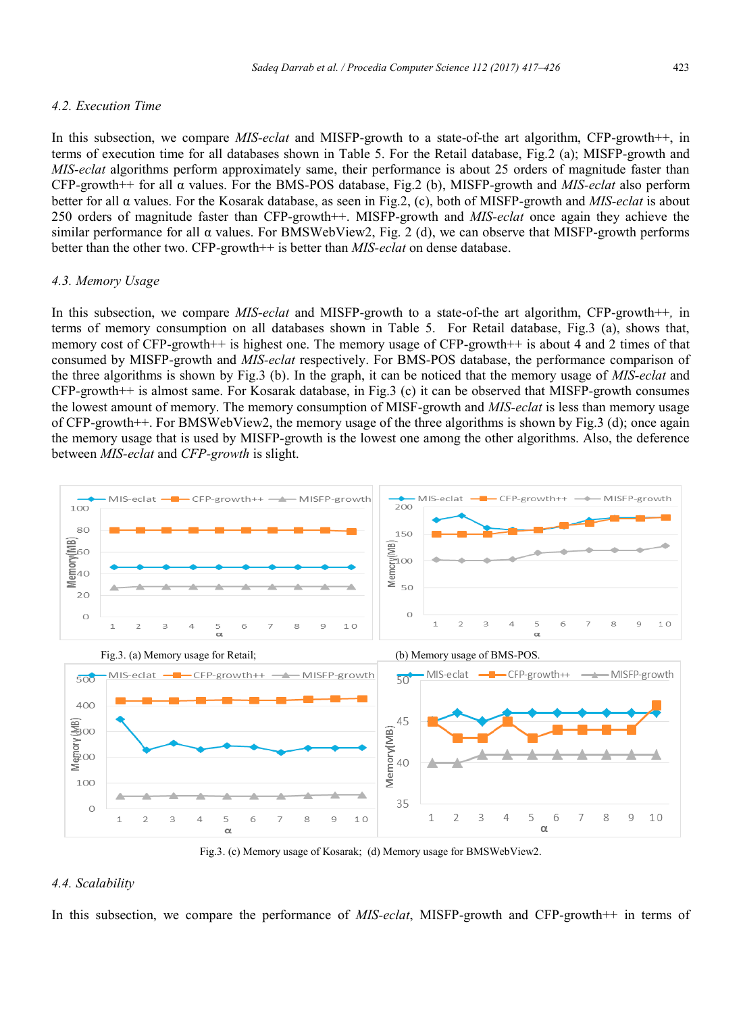#### *4.2. Execution Time*

In this subsection, we compare *MIS-eclat* and MISFP-growth to a state-of-the art algorithm, CFP-growth++, in terms of execution time for all databases shown in Table 5. For the Retail database, Fig.2 (a); MISFP-growth and *MIS-eclat* algorithms perform approximately same, their performance is about 25 orders of magnitude faster than CFP-growth++ for all α values. For the BMS-POS database, Fig.2 (b), MISFP-growth and *MIS-eclat* also perform better for all α values. For the Kosarak database, as seen in Fig.2, (c), both of MISFP-growth and *MIS-eclat* is about 250 orders of magnitude faster than CFP-growth++. MISFP-growth and *MIS-eclat* once again they achieve the similar performance for all  $\alpha$  values. For BMSWebView2, Fig. 2 (d), we can observe that MISFP-growth performs better than the other two. CFP-growth++ is better than *MIS-eclat* on dense database.

#### *4.3. Memory Usage*

In this subsection, we compare *MIS-eclat* and MISFP-growth to a state-of-the art algorithm, CFP-growth++*,* in terms of memory consumption on all databases shown in Table 5. For Retail database, Fig.3 (a), shows that, memory cost of CFP-growth++ is highest one. The memory usage of CFP-growth++ is about 4 and 2 times of that consumed by MISFP-growth and *MIS-eclat* respectively. For BMS-POS database, the performance comparison of the three algorithms is shown by Fig.3 (b). In the graph, it can be noticed that the memory usage of *MIS-eclat* and CFP-growth++ is almost same. For Kosarak database, in Fig.3 (c) it can be observed that MISFP-growth consumes the lowest amount of memory. The memory consumption of MISF-growth and *MIS-eclat* is less than memory usage of CFP-growth++. For BMSWebView2, the memory usage of the three algorithms is shown by Fig.3 (d); once again the memory usage that is used by MISFP-growth is the lowest one among the other algorithms. Also, the deference between *MIS-eclat* and *CFP-growth* is slight.



Fig.3. (c) Memory usage of Kosarak; (d) Memory usage for BMSWebView2.

# *4.4. Scalability*

In this subsection, we compare the performance of *MIS-eclat*, MISFP-growth and CFP-growth++ in terms of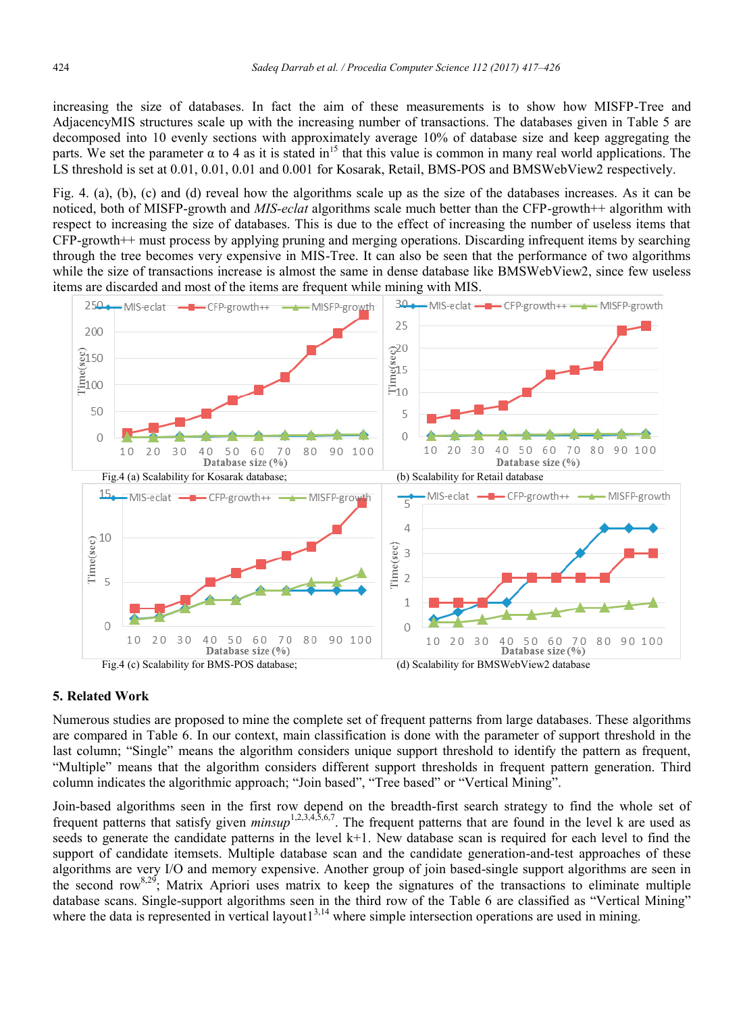increasing the size of databases. In fact the aim of these measurements is to show how MISFP-Tree and AdjacencyMIS structures scale up with the increasing number of transactions. The databases given in Table 5 are decomposed into 10 evenly sections with approximately average 10% of database size and keep aggregating the parts. We set the parameter  $\alpha$  to 4 as it is stated in<sup>15</sup> that this value is common in many real world applications. The LS threshold is set at 0.01, 0.01, 0.01 and 0.001 for Kosarak, Retail, BMS-POS and BMSWebView2 respectively.

Fig. 4. (a), (b), (c) and (d) reveal how the algorithms scale up as the size of the databases increases. As it can be noticed, both of MISFP-growth and *MIS-eclat* algorithms scale much better than the CFP-growth++ algorithm with respect to increasing the size of databases. This is due to the effect of increasing the number of useless items that CFP-growth++ must process by applying pruning and merging operations. Discarding infrequent items by searching through the tree becomes very expensive in MIS-Tree. It can also be seen that the performance of two algorithms while the size of transactions increase is almost the same in dense database like BMSWebView2, since few useless items are discarded and most of the items are frequent while mining with MIS.



#### **5. Related Work**

Numerous studies are proposed to mine the complete set of frequent patterns from large databases. These algorithms are compared in Table 6. In our context, main classification is done with the parameter of support threshold in the last column; "Single" means the algorithm considers unique support threshold to identify the pattern as frequent, "Multiple" means that the algorithm considers different support thresholds in frequent pattern generation. Third column indicates the algorithmic approach; "Join based", "Tree based" or "Vertical Mining".

Join-based algorithms seen in the first row depend on the breadth-first search strategy to find the whole set of frequent patterns that satisfy given *minsup*1,2,3,4,5,6,7. The frequent patterns that are found in the level k are used as seeds to generate the candidate patterns in the level k+1. New database scan is required for each level to find the support of candidate itemsets. Multiple database scan and the candidate generation-and-test approaches of these algorithms are very I/O and memory expensive. Another group of join based-single support algorithms are seen in the second row<sup>8,29</sup>; Matrix Apriori uses matrix to keep the signatures of the transactions to eliminate multiple database scans. Single-support algorithms seen in the third row of the Table 6 are classified as "Vertical Mining" where the data is represented in vertical layout1 $3,14$  where simple intersection operations are used in mining.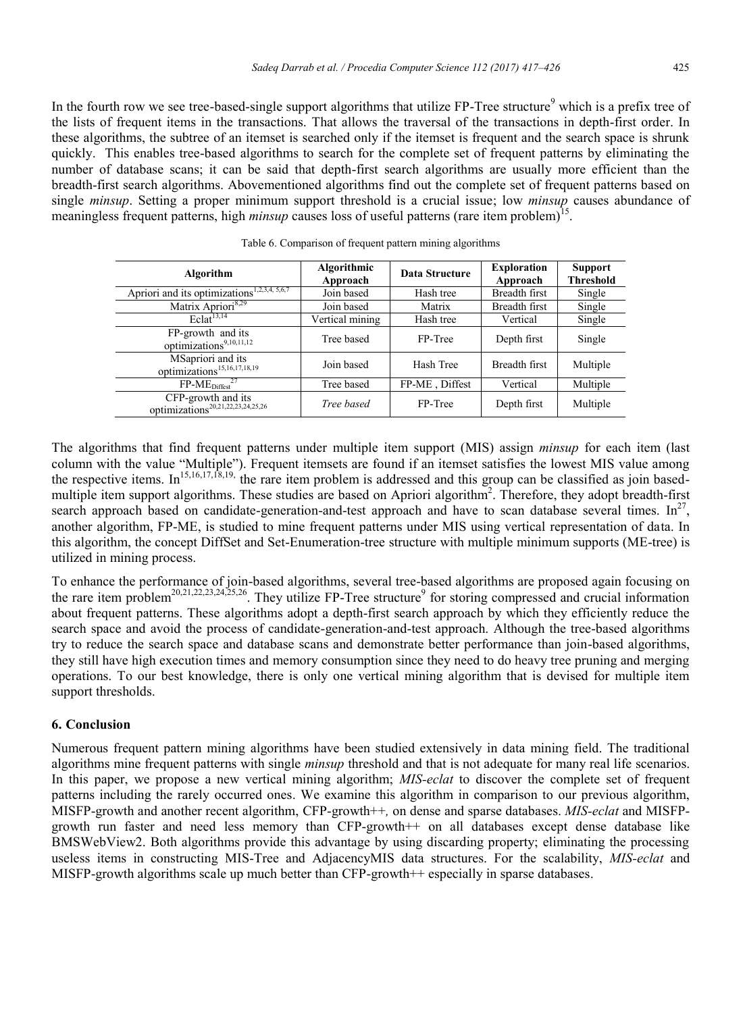In the fourth row we see tree-based-single support algorithms that utilize  $FP$ -Tree structure<sup>9</sup> which is a prefix tree of the lists of frequent items in the transactions. That allows the traversal of the transactions in depth-first order. In these algorithms, the subtree of an itemset is searched only if the itemset is frequent and the search space is shrunk quickly. This enables tree-based algorithms to search for the complete set of frequent patterns by eliminating the number of database scans; it can be said that depth-first search algorithms are usually more efficient than the breadth-first search algorithms. Abovementioned algorithms find out the complete set of frequent patterns based on single *minsup*. Setting a proper minimum support threshold is a crucial issue; low *minsup* causes abundance of meaningless frequent patterns, high *minsup* causes loss of useful patterns (rare item problem)<sup>15</sup>.

| Algorithm                                                           | Algorithmic<br>Approach | Data Structure | <b>Exploration</b><br>Approach | <b>Support</b><br><b>Threshold</b> |
|---------------------------------------------------------------------|-------------------------|----------------|--------------------------------|------------------------------------|
| Apriori and its optimizations <sup>1,2,3,4, 5,6,7</sup>             | Join based              | Hash tree      | Breadth first                  | Single                             |
| Matrix Apriori <sup>8,29</sup>                                      | Join based              | Matrix         | Breadth first                  | Single                             |
| Eclat <sup>13,14</sup>                                              | Vertical mining         | Hash tree      | Vertical                       | Single                             |
| FP-growth and its<br>optimizations9,10,11,12                        | Tree based              | FP-Tree        | Depth first                    | Single                             |
| MSapriori and its<br>optimizations <sup>15,16,17,18,19</sup>        | Join based              | Hash Tree      | Breadth first                  | Multiple                           |
| $FP-MEDiffest27$                                                    | Tree based              | FP-ME, Diffest | Vertical                       | Multiple                           |
| CFP-growth and its<br>optimizations <sup>20,21,22,23,24,25,26</sup> | Tree based              | FP-Tree        | Depth first                    | Multiple                           |

Table 6. Comparison of frequent pattern mining algorithms

The algorithms that find frequent patterns under multiple item support (MIS) assign *minsup* for each item (last column with the value "Multiple"). Frequent itemsets are found if an itemset satisfies the lowest MIS value among the respective items. In<sup>15,16,17,18,19,</sup> the rare item problem is addressed and this group can be classified as join basedmultiple item support algorithms. These studies are based on Apriori algorithm<sup>2</sup>. Therefore, they adopt breadth-first search approach based on candidate-generation-and-test approach and have to scan database several times.  $In^{27}$ , another algorithm, FP-ME, is studied to mine frequent patterns under MIS using vertical representation of data. In this algorithm, the concept DiffSet and Set-Enumeration-tree structure with multiple minimum supports (ME-tree) is utilized in mining process.

To enhance the performance of join-based algorithms, several tree-based algorithms are proposed again focusing on the rare item problem<sup>20,21,22,23,24,25,26</sup>. They utilize FP-Tree structure<sup>9</sup> for storing compressed and crucial information about frequent patterns. These algorithms adopt a depth-first search approach by which they efficiently reduce the search space and avoid the process of candidate-generation-and-test approach. Although the tree-based algorithms try to reduce the search space and database scans and demonstrate better performance than join-based algorithms, they still have high execution times and memory consumption since they need to do heavy tree pruning and merging operations. To our best knowledge, there is only one vertical mining algorithm that is devised for multiple item support thresholds.

# **6. Conclusion**

Numerous frequent pattern mining algorithms have been studied extensively in data mining field. The traditional algorithms mine frequent patterns with single *minsup* threshold and that is not adequate for many real life scenarios. In this paper, we propose a new vertical mining algorithm; *MIS-eclat* to discover the complete set of frequent patterns including the rarely occurred ones. We examine this algorithm in comparison to our previous algorithm, MISFP-growth and another recent algorithm, CFP-growth++*,* on dense and sparse databases. *MIS-eclat* and MISFPgrowth run faster and need less memory than CFP-growth++ on all databases except dense database like BMSWebView2. Both algorithms provide this advantage by using discarding property; eliminating the processing useless items in constructing MIS-Tree and AdjacencyMIS data structures. For the scalability, *MIS-eclat* and MISFP-growth algorithms scale up much better than CFP-growth++ especially in sparse databases.